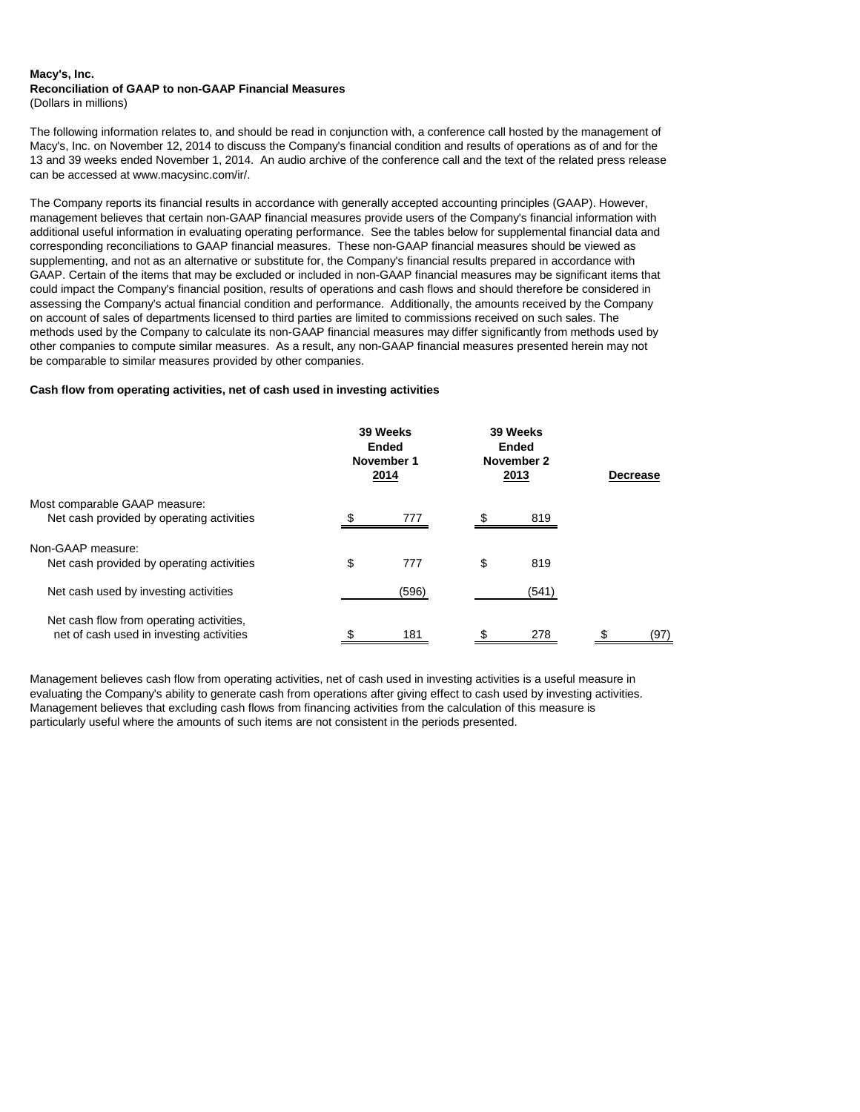## **Macy's, Inc. Reconciliation of GAAP to non-GAAP Financial Measures**

(Dollars in millions)

The following information relates to, and should be read in conjunction with, a conference call hosted by the management of Macy's, Inc. on November 12, 2014 to discuss the Company's financial condition and results of operations as of and for the 13 and 39 weeks ended November 1, 2014. An audio archive of the conference call and the text of the related press release can be accessed at www.macysinc.com/ir/.

The Company reports its financial results in accordance with generally accepted accounting principles (GAAP). However, management believes that certain non-GAAP financial measures provide users of the Company's financial information with additional useful information in evaluating operating performance. See the tables below for supplemental financial data and corresponding reconciliations to GAAP financial measures. These non-GAAP financial measures should be viewed as supplementing, and not as an alternative or substitute for, the Company's financial results prepared in accordance with GAAP. Certain of the items that may be excluded or included in non-GAAP financial measures may be significant items that could impact the Company's financial position, results of operations and cash flows and should therefore be considered in assessing the Company's actual financial condition and performance. Additionally, the amounts received by the Company on account of sales of departments licensed to third parties are limited to commissions received on such sales. The methods used by the Company to calculate its non-GAAP financial measures may differ significantly from methods used by other companies to compute similar measures. As a result, any non-GAAP financial measures presented herein may not be comparable to similar measures provided by other companies.

## **Cash flow from operating activities, net of cash used in investing activities**

|                                                                                      | 39 Weeks<br>Ended<br>November 1<br>2014 |       | 39 Weeks<br>Ended<br>November 2<br>2013 |       | <b>Decrease</b> |      |
|--------------------------------------------------------------------------------------|-----------------------------------------|-------|-----------------------------------------|-------|-----------------|------|
| Most comparable GAAP measure:<br>Net cash provided by operating activities           |                                         | 777   |                                         | 819   |                 |      |
| Non-GAAP measure:<br>Net cash provided by operating activities                       | \$                                      | 777   | \$                                      | 819   |                 |      |
| Net cash used by investing activities                                                |                                         | (596) |                                         | (541) |                 |      |
| Net cash flow from operating activities,<br>net of cash used in investing activities |                                         | 181   | S                                       | 278   |                 | (97) |

Management believes cash flow from operating activities, net of cash used in investing activities is a useful measure in evaluating the Company's ability to generate cash from operations after giving effect to cash used by investing activities. Management believes that excluding cash flows from financing activities from the calculation of this measure is particularly useful where the amounts of such items are not consistent in the periods presented.